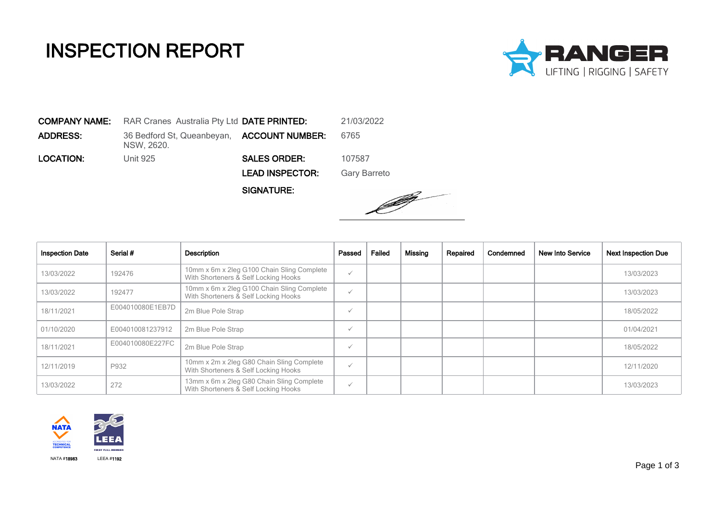## INSPECTION REPORT



COMPANY NAME: RAR Cranes Australia Pty Ltd DATE PRINTED: 21/03/2022 **ADDRESS:** 36 Bedford St, Queanbeyan, **ACCOUNT NUMBER:** 6765 NSW, 2620. **LOCATION:** Unit 925 **SALES ORDER:** 107587 LEAD INSPECTOR: Gary Barreto

SIGNATURE:



| <b>Inspection Date</b> | Serial #         | Description                                                                        | Passed       | Failed | Missing | Repaired | Condemned | <b>New Into Service</b> | <b>Next Inspection Due</b> |
|------------------------|------------------|------------------------------------------------------------------------------------|--------------|--------|---------|----------|-----------|-------------------------|----------------------------|
| 13/03/2022             | 192476           | 10mm x 6m x 2leg G100 Chain Sling Complete<br>With Shorteners & Self Locking Hooks | $\checkmark$ |        |         |          |           |                         | 13/03/2023                 |
| 13/03/2022             | 192477           | 10mm x 6m x 2leg G100 Chain Sling Complete<br>With Shorteners & Self Locking Hooks | $\checkmark$ |        |         |          |           |                         | 13/03/2023                 |
| 18/11/2021             | E004010080E1EB7D | 2m Blue Pole Strap                                                                 | $\checkmark$ |        |         |          |           |                         | 18/05/2022                 |
| 01/10/2020             | E004010081237912 | 2m Blue Pole Strap                                                                 | $\checkmark$ |        |         |          |           |                         | 01/04/2021                 |
| 18/11/2021             | E004010080E227FC | 2m Blue Pole Strap                                                                 | $\checkmark$ |        |         |          |           |                         | 18/05/2022                 |
| 12/11/2019             | P932             | 10mm x 2m x 2leg G80 Chain Sling Complete<br>With Shorteners & Self Locking Hooks  | $\checkmark$ |        |         |          |           |                         | 12/11/2020                 |
| 13/03/2022             | 272              | 13mm x 6m x 2leg G80 Chain Sling Complete<br>With Shorteners & Self Locking Hooks  | $\checkmark$ |        |         |          |           |                         | 13/03/2023                 |

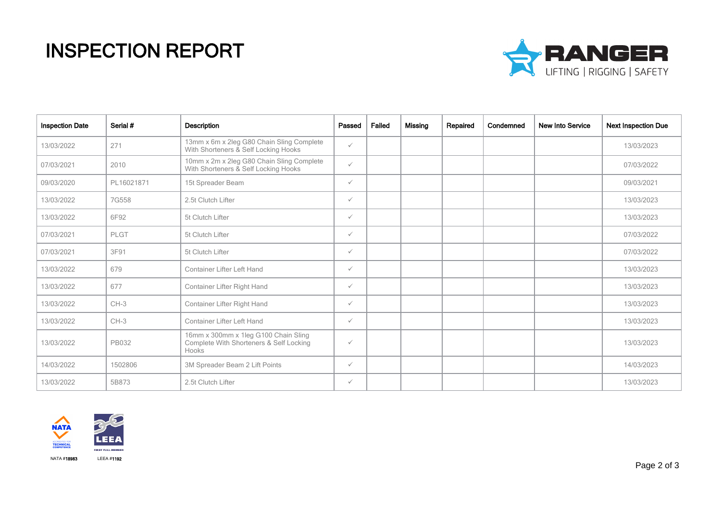## INSPECTION REPORT



| <b>Inspection Date</b> | Serial #     | <b>Description</b>                                                                       | Passed       | Failed | Missing | Repaired | Condemned | <b>New Into Service</b> | <b>Next Inspection Due</b> |
|------------------------|--------------|------------------------------------------------------------------------------------------|--------------|--------|---------|----------|-----------|-------------------------|----------------------------|
| 13/03/2022             | 271          | 13mm x 6m x 2leg G80 Chain Sling Complete<br>With Shorteners & Self Locking Hooks        | $\checkmark$ |        |         |          |           |                         | 13/03/2023                 |
| 07/03/2021             | 2010         | 10mm x 2m x 2leg G80 Chain Sling Complete<br>With Shorteners & Self Locking Hooks        | $\checkmark$ |        |         |          |           |                         | 07/03/2022                 |
| 09/03/2020             | PL16021871   | 15t Spreader Beam                                                                        | $\checkmark$ |        |         |          |           |                         | 09/03/2021                 |
| 13/03/2022             | 7G558        | 2.5t Clutch Lifter                                                                       | $\checkmark$ |        |         |          |           |                         | 13/03/2023                 |
| 13/03/2022             | 6F92         | 5t Clutch Lifter                                                                         | $\checkmark$ |        |         |          |           |                         | 13/03/2023                 |
| 07/03/2021             | PLGT         | 5t Clutch Lifter                                                                         | $\checkmark$ |        |         |          |           |                         | 07/03/2022                 |
| 07/03/2021             | 3F91         | 5t Clutch Lifter                                                                         | $\checkmark$ |        |         |          |           |                         | 07/03/2022                 |
| 13/03/2022             | 679          | <b>Container Lifter Left Hand</b>                                                        | $\checkmark$ |        |         |          |           |                         | 13/03/2023                 |
| 13/03/2022             | 677          | Container Lifter Right Hand                                                              | $\checkmark$ |        |         |          |           |                         | 13/03/2023                 |
| 13/03/2022             | $CH-3$       | Container Lifter Right Hand                                                              | $\checkmark$ |        |         |          |           |                         | 13/03/2023                 |
| 13/03/2022             | $CH-3$       | <b>Container Lifter Left Hand</b>                                                        | $\checkmark$ |        |         |          |           |                         | 13/03/2023                 |
| 13/03/2022             | <b>PB032</b> | 16mm x 300mm x 1leg G100 Chain Sling<br>Complete With Shorteners & Self Locking<br>Hooks | $\checkmark$ |        |         |          |           |                         | 13/03/2023                 |
| 14/03/2022             | 1502806      | 3M Spreader Beam 2 Lift Points                                                           | $\checkmark$ |        |         |          |           |                         | 14/03/2023                 |
| 13/03/2022             | 5B873        | 2.5t Clutch Lifter                                                                       | $\checkmark$ |        |         |          |           |                         | 13/03/2023                 |